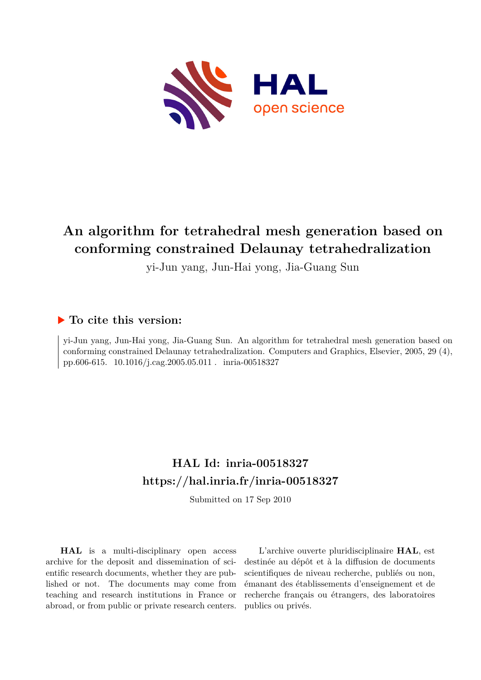

# **An algorithm for tetrahedral mesh generation based on conforming constrained Delaunay tetrahedralization**

yi-Jun yang, Jun-Hai yong, Jia-Guang Sun

# **To cite this version:**

yi-Jun yang, Jun-Hai yong, Jia-Guang Sun. An algorithm for tetrahedral mesh generation based on conforming constrained Delaunay tetrahedralization. Computers and Graphics, Elsevier, 2005, 29 (4), pp.606-615.  $10.1016/j.cag.2005.05.011$ . inria-00518327

# **HAL Id: inria-00518327 <https://hal.inria.fr/inria-00518327>**

Submitted on 17 Sep 2010

**HAL** is a multi-disciplinary open access archive for the deposit and dissemination of scientific research documents, whether they are published or not. The documents may come from teaching and research institutions in France or abroad, or from public or private research centers.

L'archive ouverte pluridisciplinaire **HAL**, est destinée au dépôt et à la diffusion de documents scientifiques de niveau recherche, publiés ou non, émanant des établissements d'enseignement et de recherche français ou étrangers, des laboratoires publics ou privés.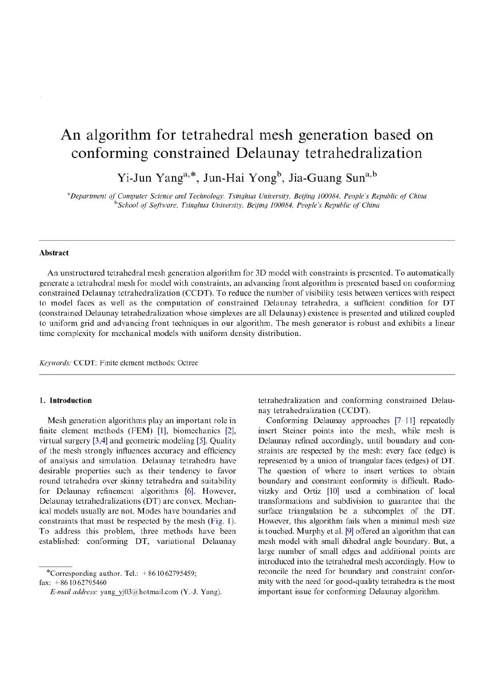# An algorithm for tetrahedral mesh generation based on conforming constrained Delaunay tetrahedralization

Yi-Jun Yang<sup>a,\*</sup>, Jun-Hai Yong<sup>b</sup>, Jia-Guang Sun<sup>a,b</sup>

<sup>a</sup>Department of Computer Science and Technology, Tsinghua University, Beijing 100084, People's Republic of China <sup>b</sup>School of Software, Tsinghua University, Beijing 100084, People's Republic of China

# **Abstract**

An unstructured tetrahedral mesh generation algorithm for 3D model with constraints is presented. To automatically generate a tetrahedral mesh for model with constraints, an advancing front algorithm is presented based on conforming constrained Delaunay tetrahedralization (CCDT). To reduce the number of visibility tests between vertices with respect to model faces as well as the computation of constrained Delaunay tetrahedra, a sufficient condition for DT (constrained Delaunay tetrahedralization whose simplexes are all Delaunay) existence is presented and utilized coupled to uniform grid and advancing front techniques in our algorithm. The mesh generator is robust and exhibits a linear time complexity for mechanical models with uniform density distribution.

Keywords: CCDT: Finite element methods: Octree

# 1. Introduction

Mesh generation algorithms play an important role in finite element methods (FEM) [1], biomechanics [2], virtual surgery [3,4] and geometric modeling [5]. Quality of the mesh strongly influences accuracy and efficiency of analysis and simulation. Delaunay tetrahedra have desirable properties such as their tendency to favor round tetrahedra over skinny tetrahedra and suitability for Delaunay refinement algorithms [6]. However, Delaunay tetrahedralizations (DT) are convex. Mechanical models usually are not. Modes have boundaries and constraints that must be respected by the mesh (Fig. 1). To address this problem, three methods have been established: conforming DT, variational Delaunav

\*Corresponding author. Tel.:  $+861062795459$ ; fax:  $+861062795460$ 

tetrahedralization and conforming constrained Delaunay tetrahedralization (CCDT).

Conforming Delaunay approaches [7-11] repeatedly insert Steiner points into the mesh, while mesh is Delaunay refined accordingly, until boundary and constraints are respected by the mesh: every face (edge) is represented by a union of triangular faces (edges) of DT. The question of where to insert vertices to obtain boundary and constraint conformity is difficult. Radovitzky and Ortiz [10] used a combination of local transformations and subdivision to guarantee that the surface triangulation be a subcomplex of the DT. However, this algorithm fails when a minimal mesh size is touched. Murphy et al. [9] offered an algorithm that can mesh model with small dihedral angle boundary. But, a large number of small edges and additional points are introduced into the tetrahedral mesh accordingly. How to reconcile the need for boundary and constraint conformity with the need for good-quality tetrahedra is the most important issue for conforming Delaunay algorithm.

E-mail address: yang yj03@hotmail.com (Y.-J. Yang).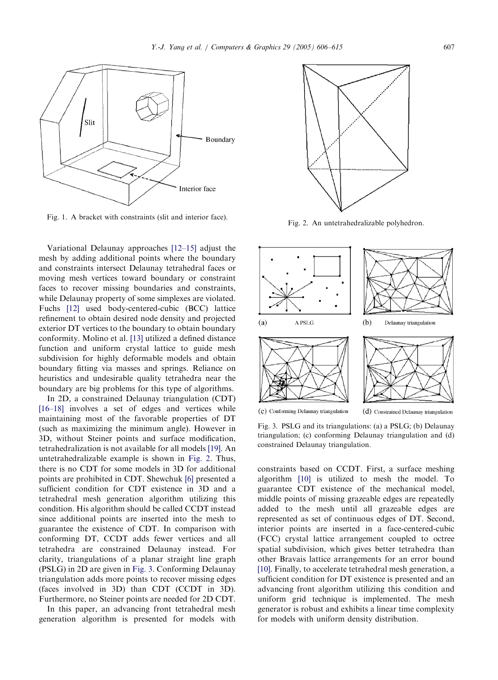

Fig. 1. A bracket with constraints (slit and interior face). Fig. 2. An untetrahedralizable polyhedron.

Variational Delaunay approaches [12–15] adjust the mesh by adding additional points where the boundary and constraints intersect Delaunay tetrahedral faces or moving mesh vertices toward boundary or constraint faces to recover missing boundaries and constraints, while Delaunay property of some simplexes are violated. Fuchs [12] used body-centered-cubic (BCC) lattice refinement to obtain desired node density and projected exterior DT vertices to the boundary to obtain boundary conformity. Molino et al. [13] utilized a defined distance function and uniform crystal lattice to guide mesh subdivision for highly deformable models and obtain boundary fitting via masses and springs. Reliance on heuristics and undesirable quality tetrahedra near the boundary are big problems for this type of algorithms.

In 2D, a constrained Delaunay triangulation (CDT) [16–18] involves a set of edges and vertices while maintaining most of the favorable properties of DT (such as maximizing the minimum angle). However in 3D, without Steiner points and surface modification, tetrahedralization is not available for all models [19]. An untetrahedralizable example is shown in Fig. 2. Thus, there is no CDT for some models in 3D for additional points are prohibited in CDT. Shewchuk [6] presented a sufficient condition for CDT existence in 3D and a tetrahedral mesh generation algorithm utilizing this condition. His algorithm should be called CCDT instead since additional points are inserted into the mesh to guarantee the existence of CDT. In comparison with conforming DT, CCDT adds fewer vertices and all tetrahedra are constrained Delaunay instead. For clarity, triangulations of a planar straight line graph (PSLG) in 2D are given in Fig. 3. Conforming Delaunay triangulation adds more points to recover missing edges (faces involved in 3D) than CDT (CCDT in 3D). Furthermore, no Steiner points are needed for 2D CDT.

In this paper, an advancing front tetrahedral mesh generation algorithm is presented for models with





Fig. 3. PSLG and its triangulations: (a) a PSLG; (b) Delaunay triangulation; (c) conforming Delaunay triangulation and (d) constrained Delaunay triangulation.

constraints based on CCDT. First, a surface meshing algorithm [10] is utilized to mesh the model. To guarantee CDT existence of the mechanical model, middle points of missing grazeable edges are repeatedly added to the mesh until all grazeable edges are represented as set of continuous edges of DT. Second, interior points are inserted in a face-centered-cubic (FCC) crystal lattice arrangement coupled to octree spatial subdivision, which gives better tetrahedra than other Bravais lattice arrangements for an error bound [10]. Finally, to accelerate tetrahedral mesh generation, a sufficient condition for DT existence is presented and an advancing front algorithm utilizing this condition and uniform grid technique is implemented. The mesh generator is robust and exhibits a linear time complexity for models with uniform density distribution.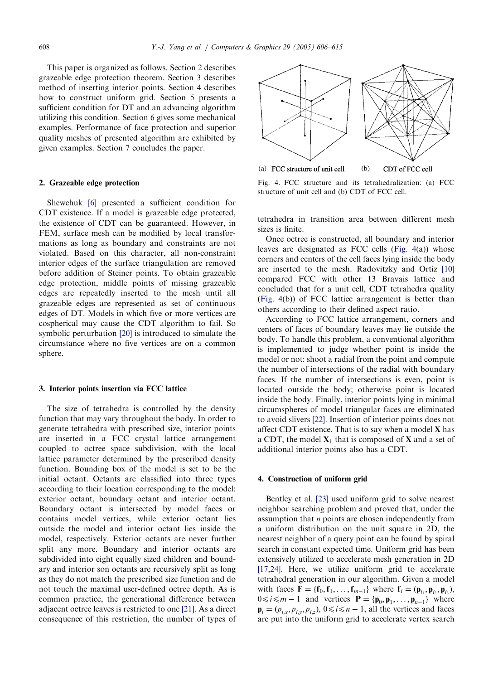This paper is organized as follows. Section 2 describes grazeable edge protection theorem. Section 3 describes method of inserting interior points. Section 4 describes how to construct uniform grid. Section 5 presents a sufficient condition for DT and an advancing algorithm utilizing this condition. Section 6 gives some mechanical examples. Performance of face protection and superior quality meshes of presented algorithm are exhibited by given examples. Section 7 concludes the paper.

### 2. Grazeable edge protection

Shewchuk [6] presented a sufficient condition for CDT existence. If a model is grazeable edge protected, the existence of CDT can be guaranteed. However, in FEM, surface mesh can be modified by local transformations as long as boundary and constraints are not violated. Based on this character, all non-constraint interior edges of the surface triangulation are removed before addition of Steiner points. To obtain grazeable edge protection, middle points of missing grazeable edges are repeatedly inserted to the mesh until all grazeable edges are represented as set of continuous edges of DT. Models in which five or more vertices are cospherical may cause the CDT algorithm to fail. So symbolic perturbation [20] is introduced to simulate the circumstance where no five vertices are on a common sphere.

### 3. Interior points insertion via FCC lattice

The size of tetrahedra is controlled by the density function that may vary throughout the body. In order to generate tetrahedra with prescribed size, interior points are inserted in a FCC crystal lattice arrangement coupled to octree space subdivision, with the local lattice parameter determined by the prescribed density function. Bounding box of the model is set to be the initial octant. Octants are classified into three types according to their location corresponding to the model: exterior octant, boundary octant and interior octant. Boundary octant is intersected by model faces or contains model vertices, while exterior octant lies outside the model and interior octant lies inside the model, respectively. Exterior octants are never further split any more. Boundary and interior octants are subdivided into eight equally sized children and boundary and interior son octants are recursively split as long as they do not match the prescribed size function and do not touch the maximal user-defined octree depth. As is common practice, the generational difference between adjacent octree leaves is restricted to one [21]. As a direct consequence of this restriction, the number of types of



Fig. 4. FCC structure and its tetrahedralization: (a) FCC structure of unit cell and (b) CDT of FCC cell.

tetrahedra in transition area between different mesh sizes is finite.

Once octree is constructed, all boundary and interior leaves are designated as FCC cells (Fig. 4(a)) whose corners and centers of the cell faces lying inside the body are inserted to the mesh. Radovitzky and Ortiz [10] compared FCC with other 13 Bravais lattice and concluded that for a unit cell, CDT tetrahedra quality (Fig. 4(b)) of FCC lattice arrangement is better than others according to their defined aspect ratio.

According to FCC lattice arrangement, corners and centers of faces of boundary leaves may lie outside the body. To handle this problem, a conventional algorithm is implemented to judge whether point is inside the model or not: shoot a radial from the point and compute the number of intersections of the radial with boundary faces. If the number of intersections is even, point is located outside the body; otherwise point is located inside the body. Finally, interior points lying in minimal circumspheres of model triangular faces are eliminated to avoid slivers [22]. Insertion of interior points does not affect CDT existence. That is to say when a model X has a CDT, the model  $X_1$  that is composed of X and a set of additional interior points also has a CDT.

### 4. Construction of uniform grid

Bentley et al. [23] used uniform grid to solve nearest neighbor searching problem and proved that, under the assumption that n points are chosen independently from a uniform distribution on the unit square in 2D, the nearest neighbor of a query point can be found by spiral search in constant expected time. Uniform grid has been extensively utilized to accelerate mesh generation in 2D [17,24]. Here, we utilize uniform grid to accelerate tetrahedral generation in our algorithm. Given a model with faces  $\mathbf{F} = \{\mathbf{f}_0, \mathbf{f}_1, \dots, \mathbf{f}_{m-1}\}\$  where  $\mathbf{f}_i = (\mathbf{p}_i, \mathbf{p}_i, \mathbf{p}_i)$ ,  $0 \le i \le m - 1$  and vertices  $\mathbf{P} = \{ \mathbf{p}_0, \mathbf{p}_1, \dots, \mathbf{p}_{n-1} \}$  where  $\mathbf{p}_i = (p_{i,x}, p_{i,y}, p_{i,z}), 0 \le i \le n - 1$ , all the vertices and faces are put into the uniform grid to accelerate vertex search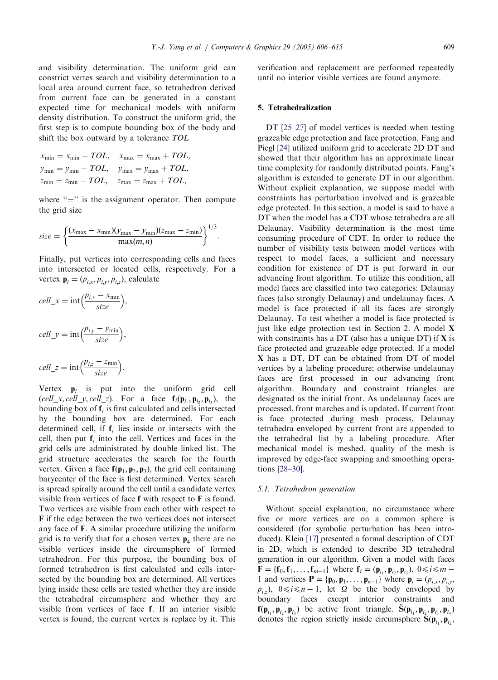and visibility determination. The uniform grid can constrict vertex search and visibility determination to a local area around current face, so tetrahedron derived from current face can be generated in a constant expected time for mechanical models with uniform density distribution. To construct the uniform grid, the first step is to compute bounding box of the body and shift the box outward by a tolerance TOL

$$
x_{\min} = x_{\min} - TOL, \quad x_{\max} = x_{\max} + TOL,
$$
  
\n
$$
y_{\min} = y_{\min} - TOL, \quad y_{\max} = y_{\max} + TOL,
$$
  
\n
$$
z_{\min} = z_{\min} - TOL, \quad z_{\max} = z_{\max} + TOL,
$$

where  $"=\right)'$  is the assignment operator. Then compute the grid size

$$
size = \left\{ \frac{(x_{\text{max}} - x_{\text{min}})(y_{\text{max}} - y_{\text{min}})(z_{\text{max}} - z_{\text{min}})}{\max(m, n)} \right\}^{1/3}.
$$

Finally, put vertices into corresponding cells and faces into intersected or located cells, respectively. For a vertex  $\mathbf{p}_i = (p_{i,x}, p_{i,y}, p_{i,z})$ , calculate

$$
cell\_x = \text{int}\Big(\frac{p_{i,x} - x_{\text{min}}}{size}\Big),
$$
  
 
$$
cell\_y = \text{int}\Big(\frac{p_{i,y} - y_{\text{min}}}{size}\Big),
$$
  
 
$$
cell\_z = \text{int}\Big(\frac{p_{i,z} - z_{\text{min}}}{size}\Big).
$$

Vertex  $\mathbf{p}_i$  is put into the uniform grid cell (cell x, cell y, cell z). For a face  $f_i(\mathbf{p}_i, \mathbf{p}_i, \mathbf{p}_i)$ , the bounding box of  $f_i$  is first calculated and cells intersected by the bounding box are determined. For each determined cell, if  $f_i$  lies inside or intersects with the cell, then put  $f_i$  into the cell. Vertices and faces in the grid cells are administrated by double linked list. The grid structure accelerates the search for the fourth vertex. Given a face  $f(p_1, p_2, p_3)$ , the grid cell containing barycenter of the face is first determined. Vertex search is spread spirally around the cell until a candidate vertex visible from vertices of face f with respect to F is found. Two vertices are visible from each other with respect to F if the edge between the two vertices does not intersect any face of F. A similar procedure utilizing the uniform grid is to verify that for a chosen vertex  $p_4$  there are no visible vertices inside the circumsphere of formed tetrahedron. For this purpose, the bounding box of formed tetrahedron is first calculated and cells intersected by the bounding box are determined. All vertices lying inside these cells are tested whether they are inside the tetrahedral circumsphere and whether they are visible from vertices of face f. If an interior visible vertex is found, the current vertex is replace by it. This verification and replacement are performed repeatedly until no interior visible vertices are found anymore.

# 5. Tetrahedralization

DT [25–27] of model vertices is needed when testing grazeable edge protection and face protection. Fang and Piegl [24] utilized uniform grid to accelerate 2D DT and showed that their algorithm has an approximate linear time complexity for randomly distributed points. Fang's algorithm is extended to generate DT in our algorithm. Without explicit explanation, we suppose model with constraints has perturbation involved and is grazeable edge protected. In this section, a model is said to have a DT when the model has a CDT whose tetrahedra are all Delaunay. Visibility determination is the most time consuming procedure of CDT. In order to reduce the number of visibility tests between model vertices with respect to model faces, a sufficient and necessary condition for existence of DT is put forward in our advancing front algorithm. To utilize this condition, all model faces are classified into two categories: Delaunay faces (also strongly Delaunay) and undelaunay faces. A model is face protected if all its faces are strongly Delaunay. To test whether a model is face protected is just like edge protection test in Section 2. A model  $X$ with constraints has a DT (also has a unique DT) if X is face protected and grazeable edge protected. If a model X has a DT, DT can be obtained from DT of model vertices by a labeling procedure; otherwise undelaunay faces are first processed in our advancing front algorithm. Boundary and constraint triangles are designated as the initial front. As undelaunay faces are processed, front marches and is updated. If current front is face protected during mesh process, Delaunay tetrahedra enveloped by current front are appended to the tetrahedral list by a labeling procedure. After mechanical model is meshed, quality of the mesh is improved by edge-face swapping and smoothing operations [28–30].

### 5.1. Tetrahedron generation

Without special explanation, no circumstance where five or more vertices are on a common sphere is considered (for symbolic perturbation has been introduced). Klein [17] presented a formal description of CDT in 2D, which is extended to describe 3D tetrahedral generation in our algorithm. Given a model with faces  **where**  $**f**<sub>i</sub> = (**p**<sub>i</sub>, **p**<sub>i</sub>, **p**<sub>i</sub>,), 0 \le i \le m -$ 1 and vertices  $\mathbf{P} = {\mathbf{p}_0, \mathbf{p}_1, \dots, \mathbf{p}_{n-1}}$  where  $\mathbf{p}_i = (p_{i,x}, p_{i,y}, \dots, p_{n-1})$  $p_{i,z}$ ),  $0 \le i \le n - 1$ , let  $\Omega$  be the body enveloped by boundary faces except interior constraints and  $f(\mathbf{p}_i, \mathbf{p}_i, \mathbf{p}_i)$  be active front triangle.  $\tilde{S}(\mathbf{p}_i, \mathbf{p}_i, \mathbf{p}_i, \mathbf{p}_i)$ denotes the region strictly inside circumsphere  $S(\mathbf{p}_i, \mathbf{p}_i)$ ,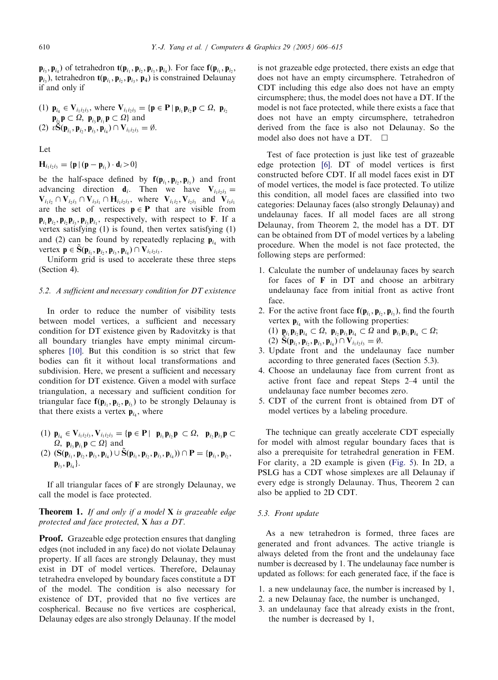$\mathbf{p}_i, \mathbf{p}_i$ ) of tetrahedron  $\mathbf{t}(\mathbf{p}_i, \mathbf{p}_i, \mathbf{p}_i, \mathbf{p}_i)$ . For face  $\mathbf{f}(\mathbf{p}_i, \mathbf{p}_i, \mathbf{p}_i)$  $\mathbf{p}_{i_2}$ ), tetrahedron  $\mathbf{t}(\mathbf{p}_{i_1}, \mathbf{p}_{i_2}, \mathbf{p}_{i_3}, \mathbf{p}_{i_4})$  is constrained Delaunay if and only if

(1) 
$$
\mathbf{p}_{i_4} \in \mathbf{V}_{i_1 i_2 i_3}
$$
, where  $\mathbf{V}_{i_1 i_2 i_3} = \{ \mathbf{p} \in \mathbf{P} \mid \mathbf{p}_{i_1} \mathbf{p}_{i_2} \mathbf{p} \subset \Omega, \mathbf{p}_{i_2}$   
\n $\mathbf{p}_{i_3} \mathbf{p} \subset \Omega, \mathbf{p}_{i_3} \mathbf{p}_{i_1} \mathbf{p} \subset \Omega \}$  and  
\n(2)  $\nu \mathbf{S}(\mathbf{p}_{i_1}, \mathbf{p}_{i_2}, \mathbf{p}_{i_3}, \mathbf{p}_{i_4}) \cap \mathbf{V}_{i_1 i_2 i_3} = \emptyset$ .

Let

$$
\mathbf{H}_{i_1i_2i_3} = \{ \mathbf{p} \, | \, (\mathbf{p} - \mathbf{p}_{i_1}) \cdot \mathbf{d}_i \, > \, 0 \}
$$

be the half-space defined by  $f(\mathbf{p}_{i_1}, \mathbf{p}_{i_2}, \mathbf{p}_{i_3})$  and front advancing direction  $\mathbf{d}_i$ . Then we have  $\mathbf{V}_{i_1 i_2 i_3}$  =  $\mathbf{V}_{i_1i_2} \cap \mathbf{V}_{i_2i_3} \cap \mathbf{V}_{i_3i_1} \cap \mathbf{H}_{i_1i_2i_3}$ , where  $\mathbf{V}_{i_1i_2}$ ,  $\mathbf{V}_{i_2i_3}$  and  $\mathbf{V}_{i_3i_1}$ are the set of vertices  $p \in P$  that are visible from  ${\bf p}_{i_1} {\bf p}_{i_2}, {\bf p}_{i_3} {\bf p}_{i_4}, {\bf p}_{i_5} {\bf p}_{i_6}$ , respectively, with respect to F. If a vertex satisfying (1) is found, then vertex satisfying (1) and (2) can be found by repeatedly replacing  $\mathbf{p}_{i_1}$  with vertex  $\mathbf{p} \in \mathbf{S}(\mathbf{p}_{i_1}, \mathbf{p}_{i_2}, \mathbf{p}_{i_3}, \mathbf{p}_{i_4}) \cap \mathbf{V}_{i_1i_2i_3}$ .

Uniform grid is used to accelerate these three steps (Section 4).

### 5.2. A sufficient and necessary condition for DT existence

In order to reduce the number of visibility tests between model vertices, a sufficient and necessary condition for DT existence given by Radovitzky is that all boundary triangles have empty minimal circumspheres [10]. But this condition is so strict that few bodies can fit it without local transformations and subdivision. Here, we present a sufficient and necessary condition for DT existence. Given a model with surface triangulation, a necessary and sufficient condition for triangular face  $f(\mathbf{p}_{i_1}, \mathbf{p}_{i_2}, \mathbf{p}_{i_3})$  to be strongly Delaunay is that there exists a vertex  $\mathbf{p}_{i_4}$ , where

(1)  $p_{i_4} \in V_{i_1 i_2 i_3}$ ,  $V_{i_1 i_2 i_3} = {p \in P | p_{i_1} p_{i_2} p \subset \Omega, p_{i_2} p_{i_3} p \subset \Omega}$  $\Omega$ ,  $\mathbf{p}_{i_3} \mathbf{p}_{i_1} \mathbf{p} \subset \Omega$  and (2)  $(S(\mathbf{p}_{i_1}, \mathbf{p}_{i_2}, \mathbf{p}_{i_3}, \mathbf{p}_{i_4}) \cup \tilde{S}(\mathbf{p}_{i_1}, \mathbf{p}_{i_2}, \mathbf{p}_{i_3}, \mathbf{p}_{i_4})) \cap \mathbf{P} = {\mathbf{p}_{i_1}, \mathbf{p}_{i_2}, \mathbf{p}_{i_3}}$  ${\bf p}_{i_2}, {\bf p}_{i_4}$ .

If all triangular faces of F are strongly Delaunay, we call the model is face protected.

# **Theorem 1.** If and only if a model  $X$  is grazeable edge protected and face protected, X has a DT.

**Proof.** Grazeable edge protection ensures that dangling edges (not included in any face) do not violate Delaunay property. If all faces are strongly Delaunay, they must exist in DT of model vertices. Therefore, Delaunay tetrahedra enveloped by boundary faces constitute a DT of the model. The condition is also necessary for existence of DT, provided that no five vertices are cospherical. Because no five vertices are cospherical, Delaunay edges are also strongly Delaunay. If the model is not grazeable edge protected, there exists an edge that does not have an empty circumsphere. Tetrahedron of CDT including this edge also does not have an empty circumsphere; thus, the model does not have a DT. If the model is not face protected, while there exists a face that does not have an empty circumsphere, tetrahedron derived from the face is also not Delaunay. So the model also does not have a DT.  $\Box$ 

Test of face protection is just like test of grazeable edge protection [6]. DT of model vertices is first constructed before CDT. If all model faces exist in DT of model vertices, the model is face protected. To utilize this condition, all model faces are classified into two categories: Delaunay faces (also strongly Delaunay) and undelaunay faces. If all model faces are all strong Delaunay, from Theorem 2, the model has a DT. DT can be obtained from DT of model vertices by a labeling procedure. When the model is not face protected, the following steps are performed:

1. Calculate the number of undelaunay faces by search for faces of F in DT and choose an arbitrary undelaunay face from initial front as active front face.

2. For the active front face  $f(\mathbf{p}_{i_1}, \mathbf{p}_{i_2}, \mathbf{p}_{i_3})$ , find the fourth vertex  $\mathbf{p}_{i}$  with the following properties: (1)  $\mathbf{p}_{i_1} \mathbf{p}_{i_2} \mathbf{p}_{i_4} \subset \Omega$ ,  $\mathbf{p}_{i_2} \mathbf{p}_{i_3} \mathbf{p}_{i_4} \subset \Omega$  and  $\mathbf{p}_{i_3} \mathbf{p}_{i_1} \mathbf{p}_{i_4} \subset \Omega$ ; (2)  $\mathbf{S}(\mathbf{p}_{i_1}, \mathbf{p}_{i_2}, \mathbf{p}_{i_3}, \mathbf{p}_{i_4}) \cap \mathbf{V}_{i_1i_2i_3} = \emptyset.$ 

- 3. Update front and the undelaunay face number according to three generated faces (Section 5.3).
- 4. Choose an undelaunay face from current front as active front face and repeat Steps 2–4 until the undelaunay face number becomes zero.
- 5. CDT of the current front is obtained from DT of model vertices by a labeling procedure.

The technique can greatly accelerate CDT especially for model with almost regular boundary faces that is also a prerequisite for tetrahedral generation in FEM. For clarity, a 2D example is given (Fig. 5). In 2D, a PSLG has a CDT whose simplexes are all Delaunay if every edge is strongly Delaunay. Thus, Theorem 2 can also be applied to 2D CDT.

# 5.3. Front update

As a new tetrahedron is formed, three faces are generated and front advances. The active triangle is always deleted from the front and the undelaunay face number is decreased by 1. The undelaunay face number is updated as follows: for each generated face, if the face is

- 1. a new undelaunay face, the number is increased by 1,
- 2. a new Delaunay face, the number is unchanged,
- 3. an undelaunay face that already exists in the front, the number is decreased by 1,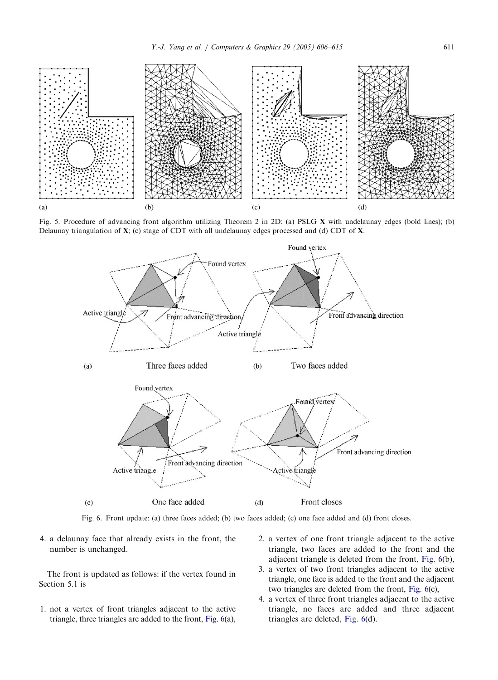

Fig. 5. Procedure of advancing front algorithm utilizing Theorem 2 in 2D: (a) PSLG X with undelaunay edges (bold lines); (b) Delaunay triangulation of X; (c) stage of CDT with all undelaunay edges processed and (d) CDT of X.



Fig. 6. Front update: (a) three faces added; (b) two faces added; (c) one face added and (d) front closes.

4. a delaunay face that already exists in the front, the number is unchanged.

The front is updated as follows: if the vertex found in Section 5.1 is

- 1. not a vertex of front triangles adjacent to the active triangle, three triangles are added to the front, Fig. 6(a),
- 2. a vertex of one front triangle adjacent to the active triangle, two faces are added to the front and the adjacent triangle is deleted from the front, Fig. 6(b),
- 3. a vertex of two front triangles adjacent to the active triangle, one face is added to the front and the adjacent two triangles are deleted from the front, Fig. 6(c),
- 4. a vertex of three front triangles adjacent to the active triangle, no faces are added and three adjacent triangles are deleted, Fig. 6(d).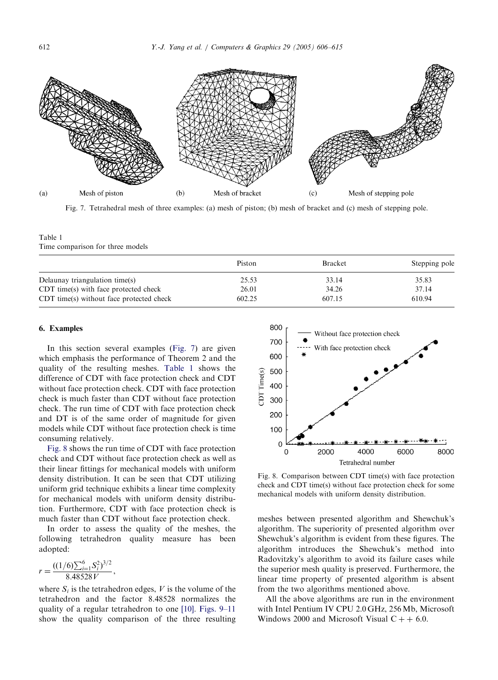

Fig. 7. Tetrahedral mesh of three examples: (a) mesh of piston; (b) mesh of bracket and (c) mesh of stepping pole.

Table 1 Time comparison for three models

|                                          | Piston | <b>Bracket</b> | Stepping pole |
|------------------------------------------|--------|----------------|---------------|
| Delaunay triangulation time(s)           | 25.53  | 33.14          | 35.83         |
| CDT time(s) with face protected check    | 26.01  | 34.26          | 37.14         |
| CDT time(s) without face protected check | 602.25 | 607.15         | 610.94        |

### 6. Examples

In this section several examples (Fig. 7) are given which emphasis the performance of Theorem 2 and the quality of the resulting meshes. Table 1 shows the difference of CDT with face protection check and CDT without face protection check. CDT with face protection check is much faster than CDT without face protection check. The run time of CDT with face protection check and DT is of the same order of magnitude for given models while CDT without face protection check is time consuming relatively.

Fig. 8 shows the run time of CDT with face protection check and CDT without face protection check as well as their linear fittings for mechanical models with uniform density distribution. It can be seen that CDT utilizing uniform grid technique exhibits a linear time complexity for mechanical models with uniform density distribution. Furthermore, CDT with face protection check is much faster than CDT without face protection check.

In order to assess the quality of the meshes, the following tetrahedron quality measure has been adopted:

$$
r = \frac{((1/6)\sum_{i=1}^{6} S_i^2)^{3/2}}{8.48528 V},
$$

where  $S_i$  is the tetrahedron edges, V is the volume of the tetrahedron and the factor 8.48528 normalizes the quality of a regular tetrahedron to one [10]. Figs. 9–11 show the quality comparison of the three resulting



Fig. 8. Comparison between CDT time(s) with face protection check and CDT time(s) without face protection check for some mechanical models with uniform density distribution.

meshes between presented algorithm and Shewchuk's algorithm. The superiority of presented algorithm over Shewchuk's algorithm is evident from these figures. The algorithm introduces the Shewchuk's method into Radovitzky's algorithm to avoid its failure cases while the superior mesh quality is preserved. Furthermore, the linear time property of presented algorithm is absent from the two algorithms mentioned above.

All the above algorithms are run in the environment with Intel Pentium IV CPU 2.0 GHz, 256Mb, Microsoft Windows 2000 and Microsoft Visual  $C + + 6.0$ .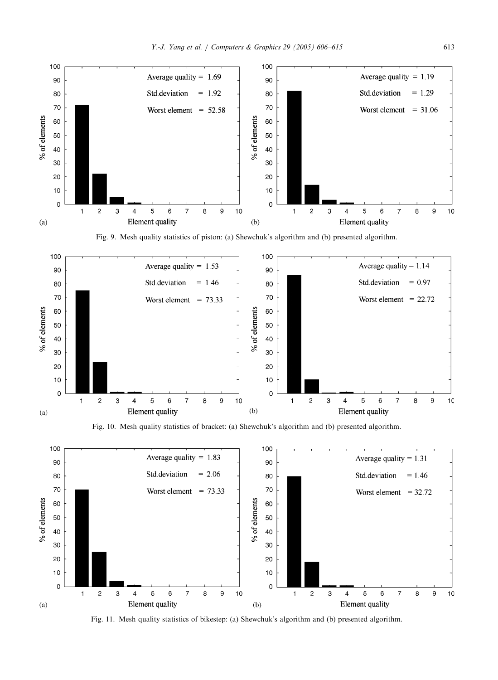

Fig. 9. Mesh quality statistics of piston: (a) Shewchuk's algorithm and (b) presented algorithm.



Fig. 10. Mesh quality statistics of bracket: (a) Shewchuk's algorithm and (b) presented algorithm.



Fig. 11. Mesh quality statistics of bikestep: (a) Shewchuk's algorithm and (b) presented algorithm.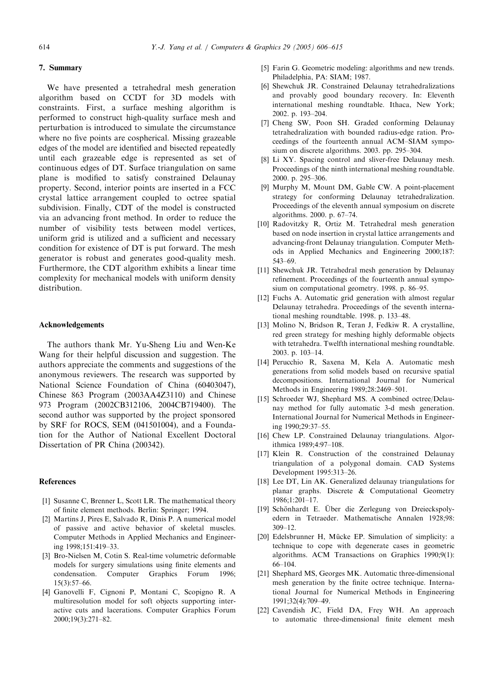# 7. Summary

We have presented a tetrahedral mesh generation algorithm based on CCDT for 3D models with constraints. First, a surface meshing algorithm is performed to construct high-quality surface mesh and perturbation is introduced to simulate the circumstance where no five points are cospherical. Missing grazeable edges of the model are identified and bisected repeatedly until each grazeable edge is represented as set of continuous edges of DT. Surface triangulation on same plane is modified to satisfy constrained Delaunay property. Second, interior points are inserted in a FCC crystal lattice arrangement coupled to octree spatial subdivision. Finally, CDT of the model is constructed via an advancing front method. In order to reduce the number of visibility tests between model vertices, uniform grid is utilized and a sufficient and necessary condition for existence of DT is put forward. The mesh generator is robust and generates good-quality mesh. Furthermore, the CDT algorithm exhibits a linear time complexity for mechanical models with uniform density distribution.

# Acknowledgements

The authors thank Mr. Yu-Sheng Liu and Wen-Ke Wang for their helpful discussion and suggestion. The authors appreciate the comments and suggestions of the anonymous reviewers. The research was supported by National Science Foundation of China (60403047), Chinese 863 Program (2003AA4Z3110) and Chinese 973 Program (2002CB312106, 2004CB719400). The second author was supported by the project sponsored by SRF for ROCS, SEM (041501004), and a Foundation for the Author of National Excellent Doctoral Dissertation of PR China (200342).

# References

- [1] Susanne C, Brenner L, Scott LR. The mathematical theory of finite element methods. Berlin: Springer; 1994.
- [2] Martins J, Pires E, Salvado R, Dinis P. A numerical model of passive and active behavior of skeletal muscles. Computer Methods in Applied Mechanics and Engineering 1998;151:419–33.
- [3] Bro-Nielsen M, Cotin S. Real-time volumetric deformable models for surgery simulations using finite elements and condensation. Computer Graphics Forum 1996; 15(3):57–66.
- [4] Ganovelli F, Cignoni P, Montani C, Scopigno R. A multiresolution model for soft objects supporting interactive cuts and lacerations. Computer Graphics Forum 2000;19(3):271–82.
- [5] Farin G. Geometric modeling: algorithms and new trends. Philadelphia, PA: SIAM; 1987.
- [6] Shewchuk JR. Constrained Delaunay tetrahedralizations and provably good boundary recovery. In: Eleventh international meshing roundtable. Ithaca, New York; 2002. p. 193–204.
- [7] Cheng SW, Poon SH. Graded conforming Delaunay tetrahedralization with bounded radius-edge ration. Proceedings of the fourteenth annual ACM–SIAM symposium on discrete algorithms. 2003. pp. 295–304.
- [8] Li XY. Spacing control and sliver-free Delaunay mesh. Proceedings of the ninth international meshing roundtable. 2000. p. 295–306.
- [9] Murphy M, Mount DM, Gable CW. A point-placement strategy for conforming Delaunay tetrahedralization. Proceedings of the eleventh annual symposium on discrete algorithms. 2000. p. 67–74.
- [10] Radovitzky R, Ortiz M. Tetrahedral mesh generation based on node insertion in crystal lattice arrangements and advancing-front Delaunay triangulation. Computer Methods in Applied Mechanics and Engineering 2000;187: 543–69.
- [11] Shewchuk JR. Tetrahedral mesh generation by Delaunay refinement. Proceedings of the fourteenth annual symposium on computational geometry. 1998. p. 86–95.
- [12] Fuchs A. Automatic grid generation with almost regular Delaunay tetrahedra. Proceedings of the seventh international meshing roundtable. 1998. p. 133–48.
- [13] Molino N, Bridson R, Teran J, Fedkiw R. A crystalline, red green strategy for meshing highly deformable objects with tetrahedra. Twelfth international meshing roundtable. 2003. p. 103–14.
- [14] Perucchio R, Saxena M, Kela A. Automatic mesh generations from solid models based on recursive spatial decompositions. International Journal for Numerical Methods in Engineering 1989;28:2469–501.
- [15] Schroeder WJ, Shephard MS. A combined octree/Delaunay method for fully automatic 3-d mesh generation. International Journal for Numerical Methods in Engineering 1990;29:37–55.
- [16] Chew LP. Constrained Delaunay triangulations. Algorithmica 1989;4:97–108.
- [17] Klein R. Construction of the constrained Delaunay triangulation of a polygonal domain. CAD Systems Development 1995:313–26.
- [18] Lee DT, Lin AK. Generalized delaunay triangulations for planar graphs. Discrete & Computational Geometry 1986;1:201–17.
- [19] Schönhardt E. Über die Zerlegung von Dreieckspolyedern in Tetraeder. Mathematische Annalen 1928;98: 309–12.
- [20] Edelsbrunner H, Mücke EP. Simulation of simplicity: a technique to cope with degenerate cases in geometric algorithms. ACM Transactions on Graphics 1990;9(1): 66–104.
- [21] Shephard MS, Georges MK. Automatic three-dimensional mesh generation by the finite octree technique. International Journal for Numerical Methods in Engineering 1991;32(4):709–49.
- [22] Cavendish JC, Field DA, Frey WH. An approach to automatic three-dimensional finite element mesh